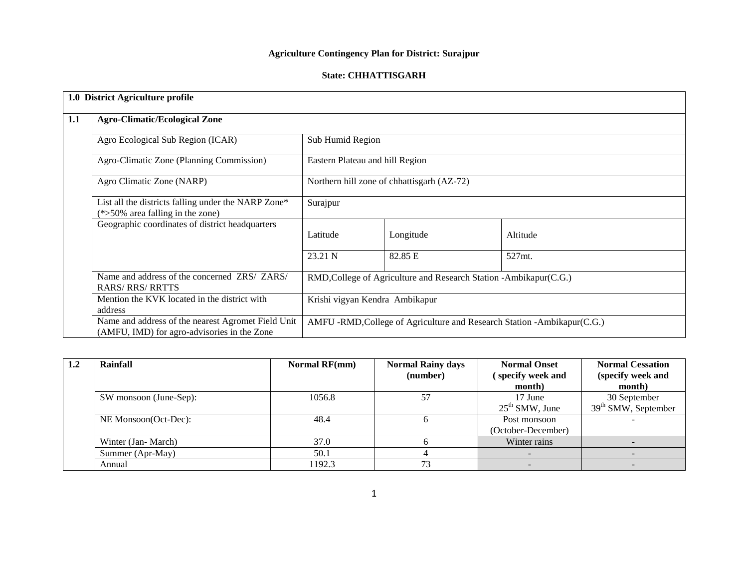# **Agriculture Contingency Plan for District: Surajpur**

### **State: CHHATTISGARH**

|     | 1.0 District Agriculture profile                                                                  |                                                                     |           |                                                                         |  |
|-----|---------------------------------------------------------------------------------------------------|---------------------------------------------------------------------|-----------|-------------------------------------------------------------------------|--|
| 1.1 | <b>Agro-Climatic/Ecological Zone</b>                                                              |                                                                     |           |                                                                         |  |
|     | Agro Ecological Sub Region (ICAR)                                                                 | Sub Humid Region                                                    |           |                                                                         |  |
|     | Agro-Climatic Zone (Planning Commission)                                                          | Eastern Plateau and hill Region                                     |           |                                                                         |  |
|     | Agro Climatic Zone (NARP)                                                                         | Northern hill zone of chhattisgarh (AZ-72)                          |           |                                                                         |  |
|     | List all the districts falling under the NARP Zone*<br>$(*>50\%$ area falling in the zone)        | Surajpur                                                            |           |                                                                         |  |
|     | Geographic coordinates of district headquarters                                                   | Latitude                                                            | Longitude | Altitude                                                                |  |
|     |                                                                                                   | 23.21 N                                                             | 82.85 E   | 527mt.                                                                  |  |
|     | Name and address of the concerned ZRS/ ZARS/<br><b>RARS/RRS/RRTTS</b>                             | RMD, College of Agriculture and Research Station - Ambikapur (C.G.) |           |                                                                         |  |
|     | Mention the KVK located in the district with<br>address                                           | Krishi vigyan Kendra Ambikapur                                      |           |                                                                         |  |
|     | Name and address of the nearest Agromet Field Unit<br>(AMFU, IMD) for agro-advisories in the Zone |                                                                     |           | AMFU -RMD, College of Agriculture and Research Station -Ambikapur(C.G.) |  |

| 1.2 | Rainfall               | <b>Normal RF(mm)</b> | <b>Normal Rainy days</b><br>(number) | <b>Normal Onset</b><br>specify week and<br>month) | <b>Normal Cessation</b><br>(specify week and<br>month) |
|-----|------------------------|----------------------|--------------------------------------|---------------------------------------------------|--------------------------------------------------------|
|     | SW monsoon (June-Sep): | 57<br>1056.8         |                                      | 17 June<br>$25th$ SMW, June                       | 30 September<br>$39th$ SMW, September                  |
|     | NE Monsoon(Oct-Dec):   | 48.4                 |                                      | Post monsoon<br>(October-December)                |                                                        |
|     | Winter (Jan-March)     | 37.0                 |                                      | Winter rains                                      |                                                        |
|     | Summer (Apr-May)       | 50.1                 |                                      |                                                   |                                                        |
|     | Annual                 | 1192.3               | 73                                   |                                                   |                                                        |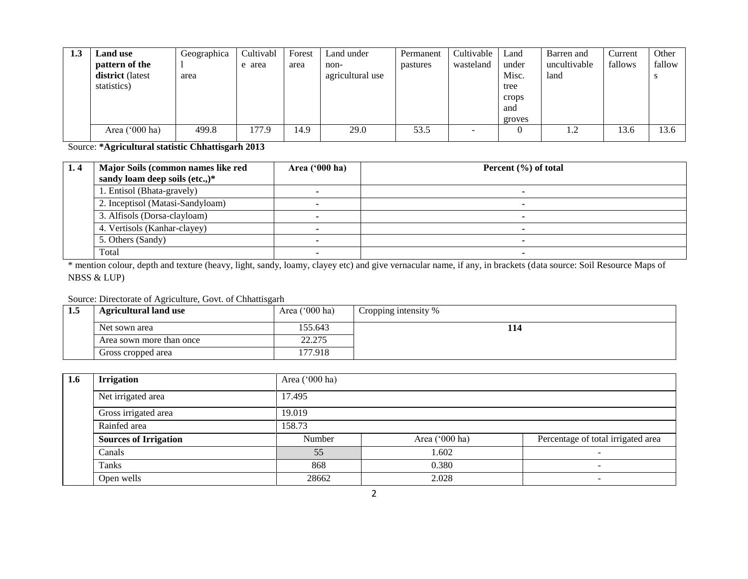| 1.3 | <b>Land use</b><br>pattern of the<br>district (latest<br>statistics) | Geographica<br>area | Cultivabl<br>e area | Forest<br>area | Land under<br>non-<br>agricultural use | Permanent<br>pastures | Cultivable<br>wasteland | Land<br>under<br>Misc.<br>tree<br>crops<br>and<br>groves | Barren and<br>uncultivable<br>land | Current<br>fallows | Other<br>fallow |
|-----|----------------------------------------------------------------------|---------------------|---------------------|----------------|----------------------------------------|-----------------------|-------------------------|----------------------------------------------------------|------------------------------------|--------------------|-----------------|
|     | Area $('000 ha)$                                                     | 499.8               | 177.9               | 14.9           | 29.0                                   | 53.5                  | -                       |                                                          | 1.2                                | 13.6               | 13.6            |

Source: **\*Agricultural statistic Chhattisgarh 2013**

| 1.4 | Major Soils (common names like red<br>sandy loam deep soils (etc.,)* | Area $(900 \text{ ha})$ | Percent $(\% )$ of total |
|-----|----------------------------------------------------------------------|-------------------------|--------------------------|
|     | l. Entisol (Bhata-gravely)                                           |                         |                          |
|     | 2. Inceptisol (Matasi-Sandyloam)                                     |                         |                          |
|     | 3. Alfisols (Dorsa-clayloam)                                         |                         |                          |
|     | 4. Vertisols (Kanhar-clayey)                                         |                         |                          |
|     | 5. Others (Sandy)                                                    |                         |                          |
|     | Total                                                                |                         |                          |

\* mention colour, depth and texture (heavy, light, sandy, loamy, clayey etc) and give vernacular name, if any, in brackets (data source: Soil Resource Maps of NBSS & LUP)

#### Source: Directorate of Agriculture, Govt. of Chhattisgarh

| 1.5 | <b>Agricultural land use</b> | Area $('000 ha)$ | Cropping intensity % |
|-----|------------------------------|------------------|----------------------|
|     | Net sown area                | 155.643          | 114                  |
|     | Area sown more than once     | 22.275           |                      |
|     | Gross cropped area           | 177.918          |                      |

| 1.6 | <b>Irrigation</b>            | Area ('000 ha) |                |                                    |  |  |
|-----|------------------------------|----------------|----------------|------------------------------------|--|--|
|     | Net irrigated area           | 17.495         |                |                                    |  |  |
|     | Gross irrigated area         | 19.019         |                |                                    |  |  |
|     | Rainfed area                 | 158.73         |                |                                    |  |  |
|     | <b>Sources of Irrigation</b> | Number         | Area ('000 ha) | Percentage of total irrigated area |  |  |
|     | Canals                       | 55             | 1.602          | $\overline{\phantom{a}}$           |  |  |
|     | Tanks                        | 868            | 0.380          | $\overline{\phantom{0}}$           |  |  |
|     | Open wells                   | 28662          | 2.028          | $\overline{\phantom{0}}$           |  |  |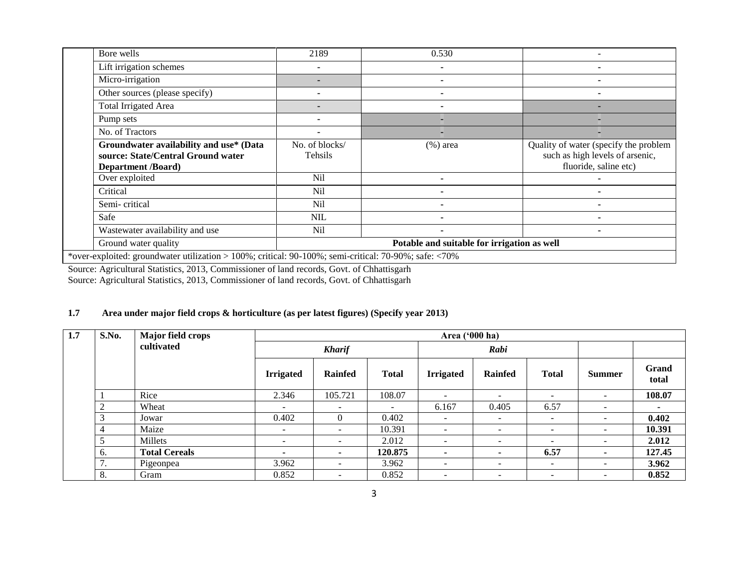| Bore wells                                                                                                 | 2189                                        | 0.530       |                                                                                                   |  |  |
|------------------------------------------------------------------------------------------------------------|---------------------------------------------|-------------|---------------------------------------------------------------------------------------------------|--|--|
|                                                                                                            |                                             |             |                                                                                                   |  |  |
| Lift irrigation schemes                                                                                    |                                             |             |                                                                                                   |  |  |
| Micro-irrigation                                                                                           |                                             |             |                                                                                                   |  |  |
| Other sources (please specify)                                                                             |                                             |             |                                                                                                   |  |  |
| <b>Total Irrigated Area</b>                                                                                |                                             |             |                                                                                                   |  |  |
| Pump sets                                                                                                  |                                             |             |                                                                                                   |  |  |
| No. of Tractors                                                                                            |                                             |             |                                                                                                   |  |  |
| Groundwater availability and use* (Data<br>source: State/Central Ground water<br><b>Department /Board)</b> | No. of blocks/<br>Tehsils                   | $(% )$ area | Quality of water (specify the problem<br>such as high levels of arsenic,<br>fluoride, saline etc) |  |  |
| Over exploited                                                                                             | <b>Nil</b>                                  |             |                                                                                                   |  |  |
| Critical                                                                                                   | <b>Nil</b>                                  |             |                                                                                                   |  |  |
| Semi-critical                                                                                              | N <sub>il</sub>                             |             |                                                                                                   |  |  |
| Safe                                                                                                       | <b>NIL</b>                                  |             |                                                                                                   |  |  |
| Wastewater availability and use                                                                            | N <sub>il</sub>                             |             |                                                                                                   |  |  |
| Ground water quality                                                                                       | Potable and suitable for irrigation as well |             |                                                                                                   |  |  |
| *over-exploited: groundwater utilization $>100\%$ ; critical: 90-100%; semi-critical: 70-90%; safe: <70%   |                                             |             |                                                                                                   |  |  |

Source: Agricultural Statistics, 2013, Commissioner of land records, Govt. of Chhattisgarh Source: Agricultural Statistics, 2013, Commissioner of land records, Govt. of Chhattisgarh

## **1.7 Area under major field crops & horticulture (as per latest figures) (Specify year 2013)**

| 1.7 | S.No.      | <b>Major field crops</b> |                          |                          |                          | Area ('000 ha)           |                          |                          |                          |                          |
|-----|------------|--------------------------|--------------------------|--------------------------|--------------------------|--------------------------|--------------------------|--------------------------|--------------------------|--------------------------|
|     | cultivated |                          |                          | <b>Kharif</b>            |                          |                          | Rabi                     |                          |                          |                          |
|     |            |                          | <b>Irrigated</b>         | <b>Rainfed</b>           | <b>Total</b>             | <b>Irrigated</b>         | <b>Rainfed</b>           | <b>Total</b>             | <b>Summer</b>            | Grand<br>total           |
|     |            | Rice                     | 2.346                    | 105.721                  | 108.07                   | $\overline{\phantom{0}}$ | $\overline{\phantom{a}}$ | -                        | $\overline{\phantom{a}}$ | 108.07                   |
|     |            | Wheat                    | $\overline{\phantom{a}}$ | $\overline{\phantom{0}}$ | $\overline{\phantom{a}}$ | 6.167                    | 0.405                    | 6.57                     | $\overline{\phantom{0}}$ | $\overline{\phantom{a}}$ |
|     |            | Jowar                    | 0.402                    | $\Omega$                 | 0.402                    | $\overline{\phantom{0}}$ | $\overline{\phantom{0}}$ | $\overline{\phantom{0}}$ | $\overline{\phantom{0}}$ | 0.402                    |
|     |            | Maize                    | $\sim$                   | $\overline{\phantom{a}}$ | 10.391                   | $\overline{\phantom{0}}$ | $\overline{\phantom{a}}$ | $\overline{\phantom{a}}$ | $\overline{\phantom{a}}$ | 10.391                   |
|     |            | Millets                  | $\sim$                   | $\overline{\phantom{0}}$ | 2.012                    | -                        | $\overline{\phantom{a}}$ | Ξ.                       | $\overline{\phantom{0}}$ | 2.012                    |
|     | 6.         | <b>Total Cereals</b>     | $\overline{\phantom{a}}$ | ٠                        | 120.875                  | ٠                        | ٠                        | 6.57                     | ۰                        | 127.45                   |
|     | ⇁<br>. .   | Pigeonpea                | 3.962                    | $\overline{\phantom{0}}$ | 3.962                    | -                        | $\overline{\phantom{a}}$ | ۰.                       | $\overline{\phantom{0}}$ | 3.962                    |
|     | 8.         | Gram                     | 0.852                    | $\overline{\phantom{0}}$ | 0.852                    | ۰                        | $\overline{\phantom{a}}$ | -                        | $\overline{\phantom{0}}$ | 0.852                    |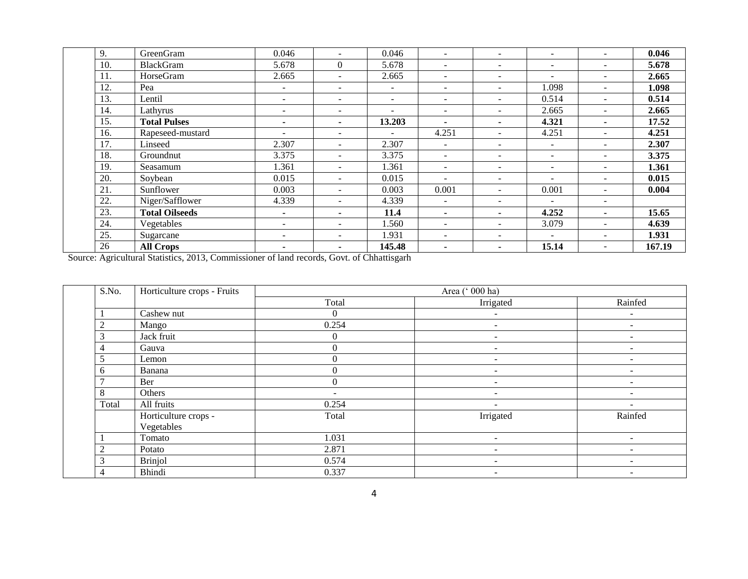| 9.  | GreenGram             | 0.046                    |                          | 0.046                        | $\sim$                   | $\sim$                   | $\overline{\phantom{a}}$ |                          | 0.046  |
|-----|-----------------------|--------------------------|--------------------------|------------------------------|--------------------------|--------------------------|--------------------------|--------------------------|--------|
| 10. | <b>BlackGram</b>      | 5.678                    | $\theta$                 | 5.678                        | $\sim$                   | $\overline{\phantom{a}}$ | $\overline{\phantom{a}}$ | $\blacksquare$           | 5.678  |
| 11. | HorseGram             | 2.665                    | $\sim$                   | 2.665                        | $\sim$                   | $\sim$                   | $\overline{\phantom{0}}$ |                          | 2.665  |
| 12. | Pea                   |                          | $\overline{\phantom{a}}$ | $\overline{\phantom{a}}$     | $\overline{\phantom{a}}$ | $\overline{\phantom{a}}$ | 1.098                    | ٠                        | 1.098  |
| 13. | Lentil                | $\overline{\phantom{a}}$ | $\overline{\phantom{a}}$ | $\overline{\phantom{0}}$     | $\overline{\phantom{a}}$ | $\overline{\phantom{a}}$ | 0.514                    | $\overline{\phantom{a}}$ | 0.514  |
| 14. | Lathyrus              |                          | $\overline{\phantom{a}}$ | $\qquad \qquad \blacksquare$ | $\overline{\phantom{a}}$ | $\overline{\phantom{a}}$ | 2.665                    | $\overline{\phantom{a}}$ | 2.665  |
| 15. | <b>Total Pulses</b>   | ۰.                       | ۰.                       | 13.203                       | ۰.                       |                          | 4.321                    |                          | 17.52  |
| 16. | Rapeseed-mustard      |                          | $\overline{\phantom{a}}$ |                              | 4.251                    | $\overline{\phantom{a}}$ | 4.251                    |                          | 4.251  |
| 17. | Linseed               | 2.307                    | $\overline{\phantom{a}}$ | 2.307                        | $\overline{\phantom{a}}$ | $\overline{\phantom{a}}$ | $\overline{\phantom{a}}$ | $\overline{\phantom{a}}$ | 2.307  |
| 18. | Groundnut             | 3.375                    | $\overline{\phantom{a}}$ | 3.375                        | $\overline{\phantom{a}}$ | $\overline{\phantom{a}}$ |                          |                          | 3.375  |
| 19. | Seasamum              | 1.361                    | $\overline{\phantom{a}}$ | 1.361                        | $\overline{\phantom{a}}$ | $\overline{\phantom{a}}$ |                          |                          | 1.361  |
| 20. | Soybean               | 0.015                    | $\sim$                   | 0.015                        | ۰                        | $\overline{\phantom{a}}$ |                          |                          | 0.015  |
| 21. | Sunflower             | 0.003                    | $\overline{\phantom{a}}$ | 0.003                        | 0.001                    | $\overline{\phantom{a}}$ | 0.001                    | ٠                        | 0.004  |
| 22. | Niger/Safflower       | 4.339                    | $\overline{\phantom{a}}$ | 4.339                        | $\sim$                   | $\overline{\phantom{a}}$ | $\overline{\phantom{a}}$ | $\overline{\phantom{a}}$ |        |
| 23. | <b>Total Oilseeds</b> | $\blacksquare$           | $\blacksquare$           | 11.4                         | $\blacksquare$           | $\blacksquare$           | 4.252                    | $\blacksquare$           | 15.65  |
| 24. | Vegetables            | $\overline{\phantom{a}}$ | $\sim$                   | 1.560                        | $\sim$                   | $\overline{\phantom{a}}$ | 3.079                    | $\overline{\phantom{a}}$ | 4.639  |
| 25. | Sugarcane             | $\overline{\phantom{a}}$ | $\overline{\phantom{a}}$ | 1.931                        | $\overline{\phantom{a}}$ | $\overline{\phantom{a}}$ | $\overline{\phantom{a}}$ | ٠                        | 1.931  |
| 26  | <b>All Crops</b>      | ٠                        | ٠                        | 145.48                       | ۰.                       | $\blacksquare$           | 15.14                    | $\overline{\phantom{a}}$ | 167.19 |

Source: Agricultural Statistics, 2013, Commissioner of land records, Govt. of Chhattisgarh

| S.No.        | Horticulture crops - Fruits |                          | Area (' 000 ha)          |                          |
|--------------|-----------------------------|--------------------------|--------------------------|--------------------------|
|              |                             | Total                    | Irrigated                | Rainfed                  |
|              | Cashew nut                  | $\theta$                 | ۰                        | $\overline{\phantom{a}}$ |
|              | Mango                       | 0.254                    | ۰                        | $\overline{\phantom{a}}$ |
| 3            | Jack fruit                  | 0                        | ٠.                       | $\overline{\phantom{a}}$ |
| 4            | Gauva                       | $\theta$                 | -                        |                          |
|              | Lemon                       |                          |                          |                          |
| <sub>0</sub> | Banana                      |                          | ۰                        |                          |
|              | Ber                         | $\Omega$                 | $\overline{\phantom{m}}$ | $\sim$                   |
| 8            | Others                      | $\overline{\phantom{a}}$ | -                        | $\overline{\phantom{0}}$ |
| Total        | All fruits                  | 0.254                    | ۰                        |                          |
|              | Horticulture crops -        | Total                    | Irrigated                | Rainfed                  |
|              | Vegetables                  |                          |                          |                          |
|              | Tomato                      | 1.031                    | -                        |                          |
| ◠            | Potato                      | 2.871                    | ۰                        |                          |
| 3            | <b>Brinjol</b>              | 0.574                    | -                        | $\overline{\phantom{a}}$ |
| 4            | Bhindi                      | 0.337                    | $\overline{\phantom{a}}$ | $\overline{\phantom{a}}$ |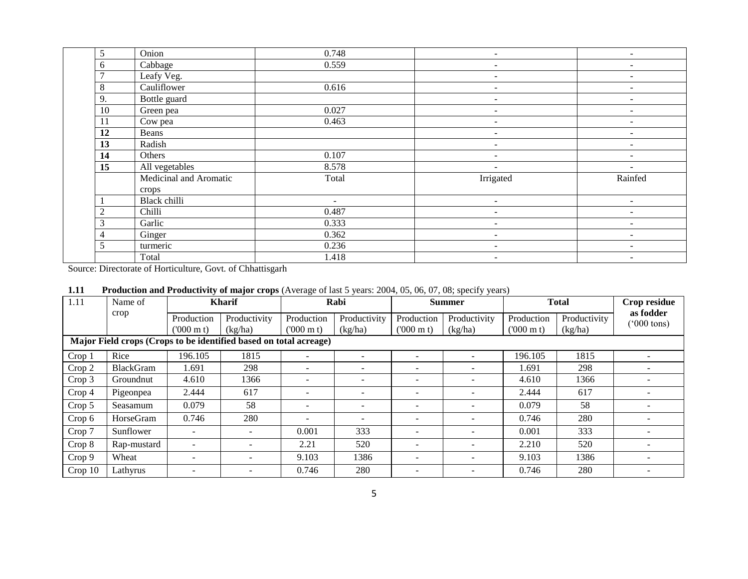| 5              | Onion                  | 0.748  | $\overline{\phantom{0}}$     | $\overline{\phantom{a}}$ |
|----------------|------------------------|--------|------------------------------|--------------------------|
| 6              | Cabbage                | 0.559  | $\qquad \qquad \blacksquare$ | $\overline{\phantom{a}}$ |
|                | Leafy Veg.             |        | $\qquad \qquad \blacksquare$ |                          |
| 8              | Cauliflower            | 0.616  | $\overline{\phantom{a}}$     | -                        |
| 9.             | Bottle guard           |        | $\qquad \qquad \blacksquare$ |                          |
| 10             | Green pea              | 0.027  | $\overline{\phantom{0}}$     |                          |
| 11             | Cow pea                | 0.463  | $\overline{\phantom{0}}$     | $\overline{\phantom{0}}$ |
| 12             | Beans                  |        | $\qquad \qquad \blacksquare$ |                          |
| 13             | Radish                 |        |                              |                          |
| 14             | Others                 | 0.107  | $\qquad \qquad \blacksquare$ |                          |
| 15             | All vegetables         | 8.578  |                              |                          |
|                | Medicinal and Aromatic | Total  | Irrigated                    | Rainfed                  |
|                | crops                  |        |                              |                          |
|                | Black chilli           | $\sim$ | $\overline{\phantom{0}}$     | $\overline{\phantom{m}}$ |
| $\overline{2}$ | Chilli                 | 0.487  | $\overline{\phantom{0}}$     | $\overline{\phantom{a}}$ |
| 3              | Garlic                 | 0.333  | $\overline{\phantom{0}}$     | $\overline{\phantom{a}}$ |
| 4              | Ginger                 | 0.362  |                              |                          |
| 5              | turmeric               | 0.236  | $\overline{\phantom{0}}$     |                          |
|                | Total                  | 1.418  | $\qquad \qquad \blacksquare$ |                          |

Source: Directorate of Horticulture, Govt. of Chhattisgarh

| 1.11 | <b>Production and Productivity of major crops</b> (Average of last 5 years: 2004, 05, 06, 07, 08; specify years) |  |  |  |  |
|------|------------------------------------------------------------------------------------------------------------------|--|--|--|--|
|------|------------------------------------------------------------------------------------------------------------------|--|--|--|--|

| 1.11    | Name of                                                           |                          | <b>Kharif</b>            |                          | Rabi                         |                          | <b>Summer</b>            |                   | <b>Total</b> | Crop residue                      |
|---------|-------------------------------------------------------------------|--------------------------|--------------------------|--------------------------|------------------------------|--------------------------|--------------------------|-------------------|--------------|-----------------------------------|
|         | crop                                                              | Production               | Productivity             | Production               | Productivity                 | Production               | Productivity             | Production        | Productivity | as fodder<br>$(000 \text{ tons})$ |
|         |                                                                   | $(000 \text{ m})$        | (kg/ha)                  | $(000 \text{ m})$        | (kg/ha)                      | $(000 \text{ m})$        | (kg/ha)                  | $(000 \text{ m})$ | (kg/ha)      |                                   |
|         | Major Field crops (Crops to be identified based on total acreage) |                          |                          |                          |                              |                          |                          |                   |              |                                   |
| Crop 1  | Rice                                                              | 196.105                  | 1815                     | ۰.                       | $\overline{\phantom{a}}$     | $\overline{\phantom{a}}$ | $\sim$                   | 196.105           | 1815         |                                   |
| Crop 2  | <b>BlackGram</b>                                                  | .691                     | 298                      | $\overline{\phantom{0}}$ |                              | $\overline{\phantom{0}}$ |                          | 1.691             | 298          |                                   |
| Crop 3  | Groundnut                                                         | 4.610                    | 1366                     | $\overline{\phantom{0}}$ | $\qquad \qquad \blacksquare$ | $\overline{\phantom{0}}$ | $\overline{\phantom{0}}$ | 4.610             | 1366         |                                   |
| Crop 4  | Pigeonpea                                                         | 2.444                    | 617                      | $\overline{\phantom{0}}$ | $\qquad \qquad \blacksquare$ | $\overline{\phantom{0}}$ |                          | 2.444             | 617          |                                   |
| Crop 5  | Seasamum                                                          | 0.079                    | 58                       | -                        | $\qquad \qquad \blacksquare$ | $\overline{\phantom{a}}$ | $\sim$                   | 0.079             | 58           |                                   |
| Crop 6  | HorseGram                                                         | 0.746                    | 280                      | ۰                        |                              | $\overline{\phantom{0}}$ | $\sim$                   | 0.746             | 280          |                                   |
| Crop 7  | Sunflower                                                         | $\overline{\phantom{a}}$ | $\overline{\phantom{0}}$ | 0.001                    | 333                          | $\overline{\phantom{0}}$ | $\overline{\phantom{0}}$ | 0.001             | 333          |                                   |
| Crop 8  | Rap-mustard                                                       |                          | $\overline{\phantom{a}}$ | 2.21                     | 520                          | $\overline{\phantom{0}}$ | $\sim$                   | 2.210             | 520          |                                   |
| Crop 9  | Wheat                                                             |                          | $\overline{\phantom{0}}$ | 9.103                    | 1386                         | $\overline{\phantom{a}}$ | $\overline{\phantom{0}}$ | 9.103             | 1386         |                                   |
| Crop 10 | Lathyrus                                                          |                          |                          | 0.746                    | 280                          | $\overline{\phantom{0}}$ |                          | 0.746             | 280          |                                   |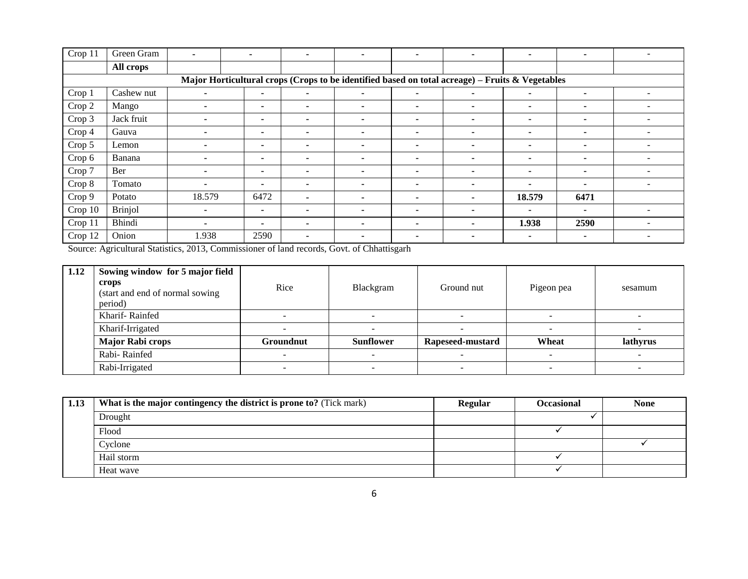| Crop 11 | Green Gram     | $\blacksquare$           | $\overline{\phantom{a}}$                                                                        | ۰ | $\overline{\phantom{a}}$ | $\overline{\phantom{a}}$ | ۰                        | $\overline{\phantom{a}}$ | $\blacksquare$           |                          |
|---------|----------------|--------------------------|-------------------------------------------------------------------------------------------------|---|--------------------------|--------------------------|--------------------------|--------------------------|--------------------------|--------------------------|
|         | All crops      |                          |                                                                                                 |   |                          |                          |                          |                          |                          |                          |
|         |                |                          | Major Horticultural crops (Crops to be identified based on total acreage) – Fruits & Vegetables |   |                          |                          |                          |                          |                          |                          |
| Crop 1  | Cashew nut     | $\blacksquare$           | $\blacksquare$                                                                                  | ٠ | $\blacksquare$           | ۰                        | ۰.                       | $\blacksquare$           | ۰                        | $\overline{\phantom{a}}$ |
| Crop 2  | Mango          | $\overline{\phantom{a}}$ | $\blacksquare$                                                                                  | ۰ | $\overline{\phantom{0}}$ | $\blacksquare$           | $\overline{\phantom{0}}$ |                          |                          | $\overline{\phantom{a}}$ |
| Crop 3  | Jack fruit     |                          | ٠                                                                                               | ۰ | $\overline{\phantom{a}}$ |                          | ۰                        | $\overline{\phantom{a}}$ |                          |                          |
| Crop 4  | Gauva          |                          | ٠                                                                                               | ۰ | $\overline{\phantom{0}}$ |                          | ٠                        | $\blacksquare$           | $\blacksquare$           |                          |
| Crop 5  | Lemon          |                          | $\blacksquare$                                                                                  |   | -                        | ۰                        | ٠                        | $\overline{\phantom{a}}$ |                          |                          |
| Crop 6  | Banana         | ٠                        | $\blacksquare$                                                                                  | ٠ | $\overline{\phantom{a}}$ |                          | $\overline{\phantom{0}}$ | $\overline{\phantom{a}}$ |                          | $\overline{\phantom{a}}$ |
| Crop 7  | Ber            |                          | $\blacksquare$                                                                                  | ٠ | $\overline{\phantom{a}}$ | ۰                        | ۰                        | $\overline{\phantom{a}}$ |                          |                          |
| Crop 8  | Tomato         | ۰                        | $\blacksquare$                                                                                  | ۰ | $\overline{\phantom{a}}$ |                          | ٠                        | $\overline{\phantom{a}}$ | $\overline{\phantom{a}}$ |                          |
| Crop 9  | Potato         | 18.579                   | 6472                                                                                            | ۰ | $\overline{\phantom{a}}$ | -                        | ٠                        | 18.579                   | 6471                     |                          |
| Crop 10 | <b>Brinjol</b> | -                        | $\blacksquare$                                                                                  | ٠ | ٠                        | -                        | ۰                        | $\blacksquare$           | $\blacksquare$           | $\overline{\phantom{a}}$ |
| Crop 11 | Bhindi         |                          | ٠                                                                                               | ٠ |                          | -                        | ٠                        | 1.938                    | 2590                     |                          |
| Crop 12 | Onion          | 1.938                    | 2590                                                                                            | ۰ |                          | ۰                        | ۰                        | $\blacksquare$           |                          |                          |

Source: Agricultural Statistics, 2013, Commissioner of land records, Govt. of Chhattisgarh

| 1.12 | Sowing window for 5 major field<br>crops<br>(start and end of normal sowing)<br>period) | Rice             | Blackgram        | Ground nut       | Pigeon pea | sesamum  |
|------|-----------------------------------------------------------------------------------------|------------------|------------------|------------------|------------|----------|
|      | Kharif-Rainfed                                                                          |                  |                  |                  |            |          |
|      | Kharif-Irrigated                                                                        |                  |                  |                  |            | -        |
|      | <b>Major Rabi crops</b>                                                                 | <b>Groundnut</b> | <b>Sunflower</b> | Rapeseed-mustard | Wheat      | lathyrus |
|      | Rabi-Rainfed                                                                            |                  |                  |                  |            | -        |
|      | Rabi-Irrigated                                                                          |                  |                  |                  |            |          |

| 1.13 | What is the major contingency the district is prone to? (Tick mark) | <b>Regular</b> | <b>Occasional</b> | <b>None</b> |
|------|---------------------------------------------------------------------|----------------|-------------------|-------------|
|      | Drought                                                             |                |                   |             |
|      | Flood                                                               |                |                   |             |
|      | Cyclone                                                             |                |                   |             |
|      | Hail storm                                                          |                |                   |             |
|      | Heat wave                                                           |                |                   |             |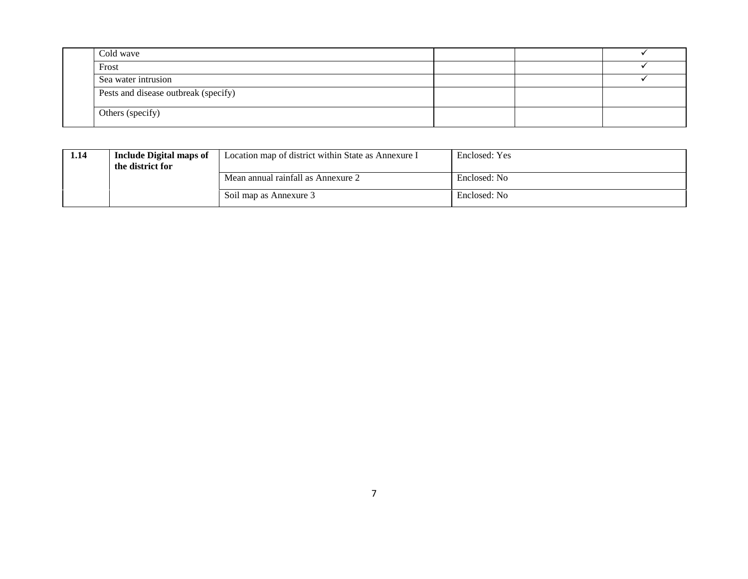| Cold wave                            |  |  |
|--------------------------------------|--|--|
| Frost                                |  |  |
| Sea water intrusion                  |  |  |
| Pests and disease outbreak (specify) |  |  |
| Others (specify)                     |  |  |

| 1.14 | <b>Include Digital maps of</b><br>the district for | Location map of district within State as Annexure I | Enclosed: Yes |
|------|----------------------------------------------------|-----------------------------------------------------|---------------|
|      |                                                    | Mean annual rainfall as Annexure 2                  | Enclosed: No  |
|      |                                                    | Soil map as Annexure 3                              | Enclosed: No  |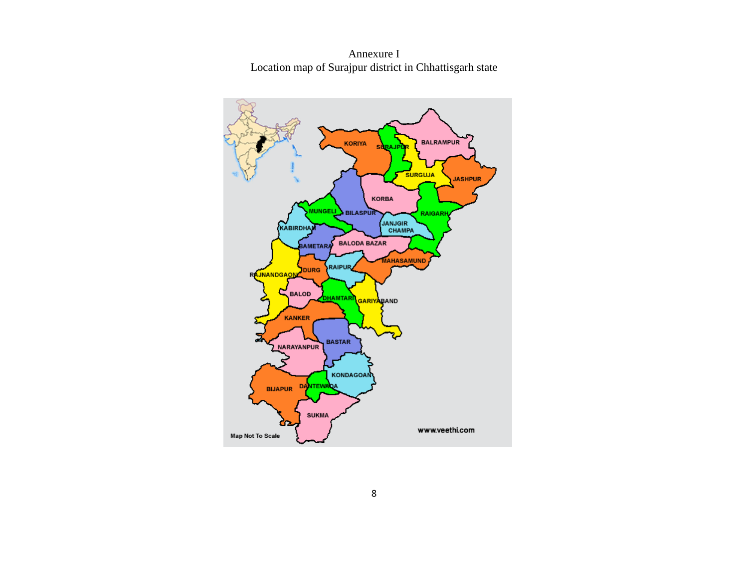Annexure I Location map of Surajpur district in Chhattisgarh state

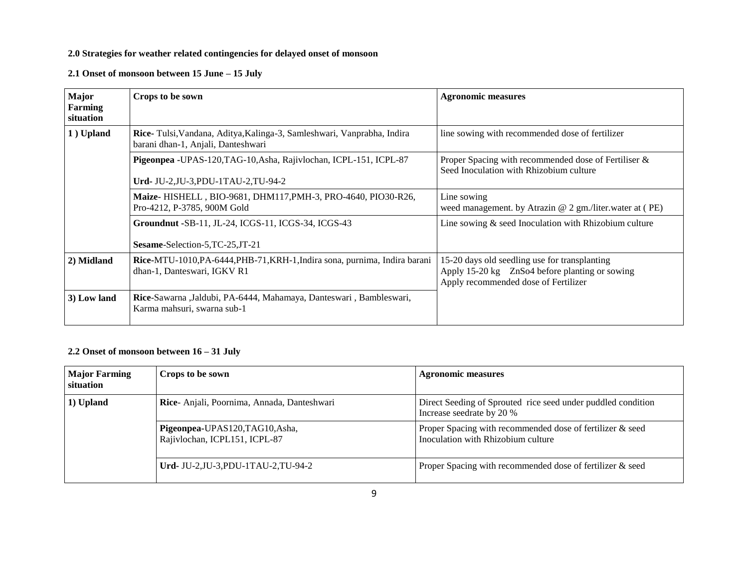#### **2.0 Strategies for weather related contingencies for delayed onset of monsoon**

**2.1 Onset of monsoon between 15 June – 15 July**

| Major<br>Farming<br>situation | Crops to be sown                                                                                             | <b>Agronomic measures</b>                                                                                                               |
|-------------------------------|--------------------------------------------------------------------------------------------------------------|-----------------------------------------------------------------------------------------------------------------------------------------|
| 1) Upland                     | Rice-Tulsi, Vandana, Aditya, Kalinga-3, Samleshwari, Vanprabha, Indira<br>barani dhan-1, Anjali, Danteshwari | line sowing with recommended dose of fertilizer                                                                                         |
|                               | Pigeonpea -UPAS-120, TAG-10, Asha, Rajivlochan, ICPL-151, ICPL-87<br>Urd-JU-2,JU-3,PDU-1TAU-2,TU-94-2        | Proper Spacing with recommended dose of Fertiliser &<br>Seed Inoculation with Rhizobium culture                                         |
|                               | Maize- HISHELL, BIO-9681, DHM117, PMH-3, PRO-4640, PIO30-R26,<br>Pro-4212, P-3785, 900M Gold                 | Line sowing<br>weed management. by Atrazin $@$ 2 gm./liter.water at (PE)                                                                |
|                               | Groundnut -SB-11, JL-24, ICGS-11, ICGS-34, ICGS-43<br>Sesame-Selection-5, TC-25, JT-21                       | Line sowing $\&$ seed Inoculation with Rhizobium culture                                                                                |
| 2) Midland                    | Rice-MTU-1010, PA-6444, PHB-71, KRH-1, Indira sona, purnima, Indira barani<br>dhan-1, Danteswari, IGKV R1    | 15-20 days old seedling use for transplanting<br>Apply 15-20 kg ZnSo4 before planting or sowing<br>Apply recommended dose of Fertilizer |
| 3) Low land                   | Rice-Sawarna ,Jaldubi, PA-6444, Mahamaya, Danteswari, Bambleswari,<br>Karma mahsuri, swarna sub-1            |                                                                                                                                         |

## **2.2 Onset of monsoon between 16 – 31 July**

| <b>Major Farming</b><br>situation | Crops to be sown                                                 | <b>Agronomic measures</b>                                                                       |  |
|-----------------------------------|------------------------------------------------------------------|-------------------------------------------------------------------------------------------------|--|
| 1) Upland                         | Rice- Anjali, Poornima, Annada, Danteshwari                      | Direct Seeding of Sprouted rice seed under puddled condition<br>Increase seedrate by 20 %       |  |
|                                   | Pigeonpea-UPAS120, TAG10, Asha,<br>Rajivlochan, ICPL151, ICPL-87 | Proper Spacing with recommended dose of fertilizer & seed<br>Inoculation with Rhizobium culture |  |
|                                   | Urd- JU-2, JU-3, PDU-1TAU-2, TU-94-2                             | Proper Spacing with recommended dose of fertilizer $\&$ seed                                    |  |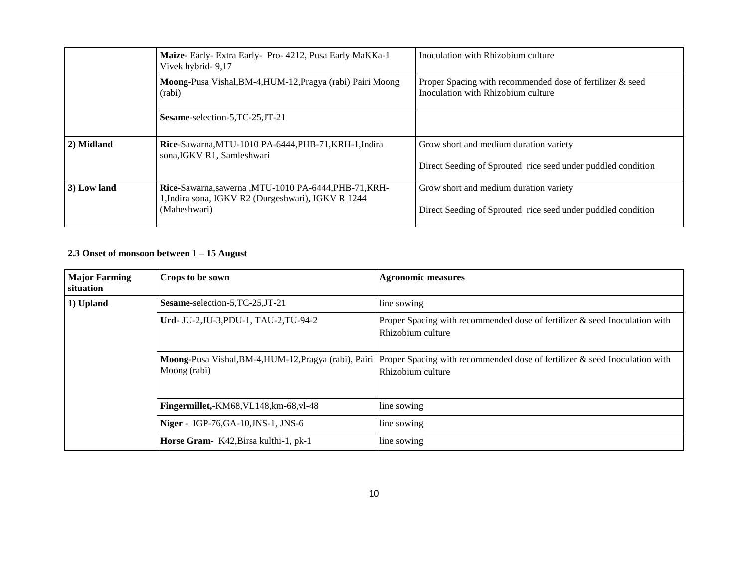|             | Maize- Early- Extra Early- Pro- 4212, Pusa Early MaKKa-1<br>Vivek hybrid- 9,17                              | Inoculation with Rhizobium culture                                                              |
|-------------|-------------------------------------------------------------------------------------------------------------|-------------------------------------------------------------------------------------------------|
|             | Moong-Pusa Vishal, BM-4, HUM-12, Pragya (rabi) Pairi Moong<br>(rabi)                                        | Proper Spacing with recommended dose of fertilizer & seed<br>Inoculation with Rhizobium culture |
|             | Sesame-selection-5, TC-25, JT-21                                                                            |                                                                                                 |
| 2) Midland  | Rice-Sawarna, MTU-1010 PA-6444, PHB-71, KRH-1, Indira<br>sona, IGKV R1, Samleshwari                         | Grow short and medium duration variety                                                          |
|             |                                                                                                             | Direct Seeding of Sprouted rice seed under puddled condition                                    |
| 3) Low land | Rice-Sawarna, sawerna, MTU-1010 PA-6444, PHB-71, KRH-<br>1, Indira sona, IGKV R2 (Durgeshwari), IGKV R 1244 | Grow short and medium duration variety                                                          |
|             | (Maheshwari)                                                                                                | Direct Seeding of Sprouted rice seed under puddled condition                                    |

## **2.3 Onset of monsoon between 1 – 15 August**

| <b>Major Farming</b><br>situation | Crops to be sown                           | <b>Agronomic measures</b>                                                                                                                             |  |
|-----------------------------------|--------------------------------------------|-------------------------------------------------------------------------------------------------------------------------------------------------------|--|
| 1) Upland                         | Sesame-selection-5, TC-25, JT-21           | line sowing                                                                                                                                           |  |
|                                   | Urd-JU-2,JU-3,PDU-1, TAU-2,TU-94-2         | Proper Spacing with recommended dose of fertilizer $\&$ seed Inoculation with<br>Rhizobium culture                                                    |  |
|                                   | Moong (rabi)                               | Moong-Pusa Vishal, BM-4, HUM-12, Pragya (rabi), Pairi Proper Spacing with recommended dose of fertilizer & seed Inoculation with<br>Rhizobium culture |  |
|                                   | Fingermillet,-KM68, VL148, km-68, vl-48    | line sowing                                                                                                                                           |  |
|                                   | <b>Niger - IGP-76, GA-10, JNS-1, JNS-6</b> | line sowing                                                                                                                                           |  |
|                                   | Horse Gram- K42, Birsa kulthi-1, pk-1      | line sowing                                                                                                                                           |  |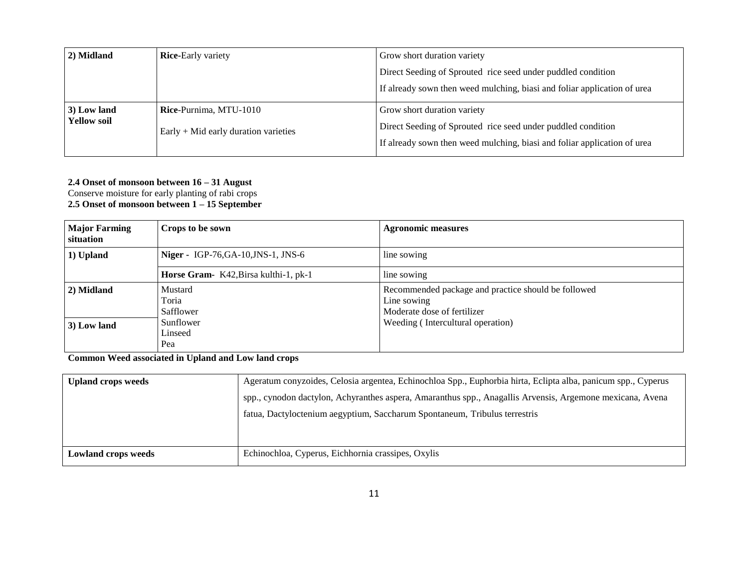| 2) Midland         | <b>Rice-Early variety</b>              | Grow short duration variety                                              |
|--------------------|----------------------------------------|--------------------------------------------------------------------------|
|                    |                                        | Direct Seeding of Sprouted rice seed under puddled condition             |
|                    |                                        | If already sown then weed mulching, biasi and foliar application of urea |
| 3) Low land        | Rice-Purnima, MTU-1010                 | Grow short duration variety                                              |
| <b>Yellow soil</b> | Early $+$ Mid early duration varieties | Direct Seeding of Sprouted rice seed under puddled condition             |
|                    |                                        | If already sown then weed mulching, biasi and foliar application of urea |

#### **2.4 Onset of monsoon between 16 – 31 August**

Conserve moisture for early planting of rabi crops **2.5 Onset of monsoon between 1 – 15 September**

| <b>Major Farming</b><br>situation | Crops to be sown                      | <b>Agronomic measures</b>                                                                         |
|-----------------------------------|---------------------------------------|---------------------------------------------------------------------------------------------------|
| 1) Upland                         | Niger - IGP-76, GA-10, JNS-1, JNS-6   | line sowing                                                                                       |
|                                   | Horse Gram- K42, Birsa kulthi-1, pk-1 | line sowing                                                                                       |
| 2) Midland                        | Mustard<br>Toria<br>Safflower         | Recommended package and practice should be followed<br>Line sowing<br>Moderate dose of fertilizer |
| 3) Low land                       | Sunflower<br>Linseed<br>Pea           | Weeding (Intercultural operation)                                                                 |

**Common Weed associated in Upland and Low land crops**

| <b>Upland crops weeds</b>  | Ageratum conyzoides, Celosia argentea, Echinochloa Spp., Euphorbia hirta, Eclipta alba, panicum spp., Cyperus |
|----------------------------|---------------------------------------------------------------------------------------------------------------|
|                            | spp., cynodon dactylon, Achyranthes aspera, Amaranthus spp., Anagallis Arvensis, Argemone mexicana, Avena     |
|                            | fatua, Dactyloctenium aegyptium, Saccharum Spontaneum, Tribulus terrestris                                    |
|                            |                                                                                                               |
|                            |                                                                                                               |
| <b>Lowland crops weeds</b> | Echinochloa, Cyperus, Eichhornia crassipes, Oxylis                                                            |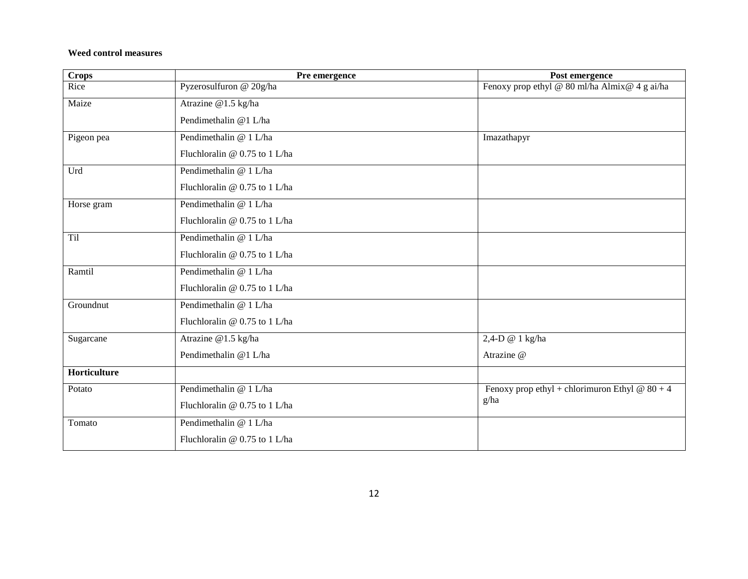#### **Weed control measures**

| <b>Crops</b> | Pre emergence                 | Post emergence                                   |
|--------------|-------------------------------|--------------------------------------------------|
| Rice         | Pyzerosulfuron @ 20g/ha       | Fenoxy prop ethyl @ 80 ml/ha Almix@ 4 g ai/ha    |
| Maize        | Atrazine @1.5 kg/ha           |                                                  |
|              | Pendimethalin @1 L/ha         |                                                  |
| Pigeon pea   | Pendimethalin @ 1 L/ha        | Imazathapyr                                      |
|              | Fluchloralin @ 0.75 to 1 L/ha |                                                  |
| Urd          | Pendimethalin @ 1 L/ha        |                                                  |
|              | Fluchloralin @ 0.75 to 1 L/ha |                                                  |
| Horse gram   | Pendimethalin @ 1 L/ha        |                                                  |
|              | Fluchloralin @ 0.75 to 1 L/ha |                                                  |
| Til          | Pendimethalin @ 1 L/ha        |                                                  |
|              | Fluchloralin @ 0.75 to 1 L/ha |                                                  |
| Ramtil       | Pendimethalin @ 1 L/ha        |                                                  |
|              | Fluchloralin @ 0.75 to 1 L/ha |                                                  |
| Groundnut    | Pendimethalin @ 1 L/ha        |                                                  |
|              | Fluchloralin @ 0.75 to 1 L/ha |                                                  |
| Sugarcane    | Atrazine @1.5 kg/ha           | 2,4-D @ 1 kg/ha                                  |
|              | Pendimethalin @1 L/ha         | Atrazine @                                       |
| Horticulture |                               |                                                  |
| Potato       | Pendimethalin @ 1 L/ha        | Fenoxy prop ethyl + chlorimuron Ethyl @ $80 + 4$ |
|              | Fluchloralin @ 0.75 to 1 L/ha | g/ha                                             |
| Tomato       | Pendimethalin @ 1 L/ha        |                                                  |
|              | Fluchloralin @ 0.75 to 1 L/ha |                                                  |
|              |                               |                                                  |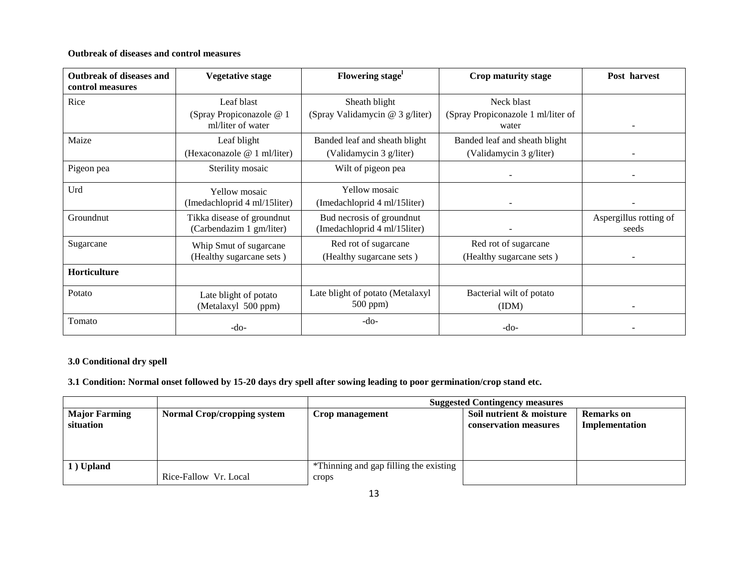#### **Outbreak of diseases and control measures**

| <b>Outbreak of diseases and</b><br>control measures | <b>Vegetative stage</b>                       | Flowering stage <sup>1</sup>     | Crop maturity stage                         | Post harvest             |
|-----------------------------------------------------|-----------------------------------------------|----------------------------------|---------------------------------------------|--------------------------|
| Rice                                                | Leaf blast                                    | Sheath blight                    | Neck blast                                  |                          |
|                                                     | (Spray Propiconazole @ 1<br>ml/liter of water | (Spray Validamycin @ 3 g/liter)  | (Spray Propiconazole 1 ml/liter of<br>water | $\overline{\phantom{a}}$ |
| Maize                                               | Leaf blight                                   | Banded leaf and sheath blight    | Banded leaf and sheath blight               |                          |
|                                                     | (Hexaconazole @ 1 ml/liter)                   | (Validamycin 3 g/liter)          | (Validamycin 3 g/liter)                     | $\overline{\phantom{a}}$ |
| Pigeon pea                                          | Sterility mosaic                              | Wilt of pigeon pea               |                                             |                          |
| Urd                                                 | <b>Yellow</b> mosaic                          | <b>Yellow</b> mosaic             |                                             |                          |
|                                                     | (Imedachloprid 4 ml/15liter)                  | (Imedachloprid 4 ml/15liter)     |                                             |                          |
| Groundnut                                           | Tikka disease of groundnut                    | Bud necrosis of groundnut        |                                             | Aspergillus rotting of   |
|                                                     | (Carbendazim 1 gm/liter)                      | (Imedachloprid 4 ml/15liter)     |                                             | seeds                    |
| Sugarcane                                           | Whip Smut of sugarcane                        | Red rot of sugarcane             | Red rot of sugarcane                        |                          |
|                                                     | (Healthy sugarcane sets)                      | (Healthy sugarcane sets)         | (Healthy sugarcane sets)                    |                          |
| Horticulture                                        |                                               |                                  |                                             |                          |
| Potato                                              | Late blight of potato                         | Late blight of potato (Metalaxyl | Bacterial wilt of potato                    |                          |
|                                                     | (Metalaxyl 500 ppm)                           | $500$ ppm $)$                    | (IDM)                                       |                          |
| Tomato                                              | $-do-$                                        | -do-                             | $-do-$                                      |                          |

## **3.0 Conditional dry spell**

**3.1 Condition: Normal onset followed by 15-20 days dry spell after sowing leading to poor germination/crop stand etc.**

|                                   |                                    | <b>Suggested Contingency measures</b>           |                                                   |                                     |
|-----------------------------------|------------------------------------|-------------------------------------------------|---------------------------------------------------|-------------------------------------|
| <b>Major Farming</b><br>situation | <b>Normal Crop/cropping system</b> | Crop management                                 | Soil nutrient & moisture<br>conservation measures | <b>Remarks</b> on<br>Implementation |
| 1) Upland                         | Rice-Fallow Vr. Local              | *Thinning and gap filling the existing<br>crops |                                                   |                                     |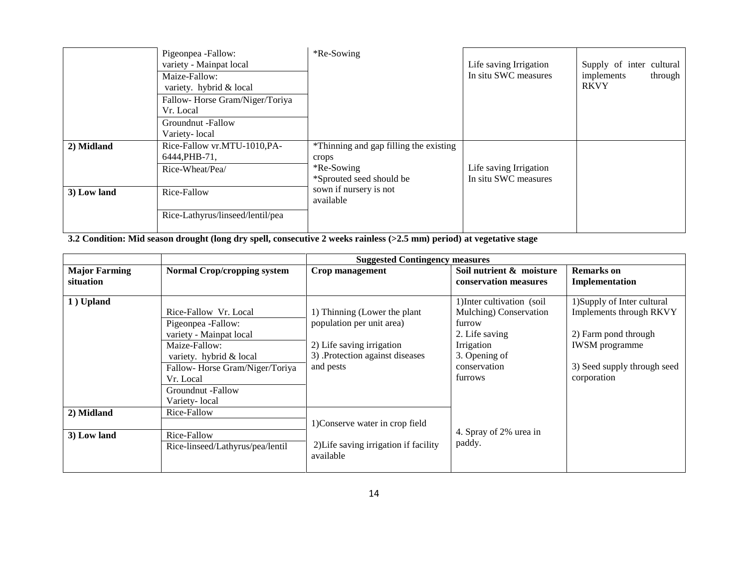|             | Pigeonpea -Fallow:<br>variety - Mainpat local<br>Maize-Fallow:<br>variety. hybrid & local<br>Fallow-Horse Gram/Niger/Toriya<br>Vr. Local<br>Groundnut -Fallow<br>Variety-local | *Re-Sowing                                                                                 | Life saving Irrigation<br>In situ SWC measures | Supply of inter cultural<br>implements<br>through<br><b>RKVY</b> |
|-------------|--------------------------------------------------------------------------------------------------------------------------------------------------------------------------------|--------------------------------------------------------------------------------------------|------------------------------------------------|------------------------------------------------------------------|
| 2) Midland  | Rice-Fallow vr.MTU-1010, PA-<br>6444, PHB-71,<br>Rice-Wheat/Pea/                                                                                                               | *Thinning and gap filling the existing<br>crops<br>*Re-Sowing*<br>*Sprouted seed should be | Life saving Irrigation<br>In situ SWC measures |                                                                  |
| 3) Low land | Rice-Fallow<br>Rice-Lathyrus/linseed/lentil/pea                                                                                                                                | sown if nursery is not<br>available                                                        |                                                |                                                                  |

**3.2 Condition: Mid season drought (long dry spell, consecutive 2 weeks rainless (>2.5 mm) period) at vegetative stage**

|                                   |                                                                                                                                                                                                         | <b>Suggested Contingency measures</b>                                                                                                 |                                                                                                                                            |                                                                                                                                                       |
|-----------------------------------|---------------------------------------------------------------------------------------------------------------------------------------------------------------------------------------------------------|---------------------------------------------------------------------------------------------------------------------------------------|--------------------------------------------------------------------------------------------------------------------------------------------|-------------------------------------------------------------------------------------------------------------------------------------------------------|
| <b>Major Farming</b><br>situation | <b>Normal Crop/cropping system</b>                                                                                                                                                                      | Crop management                                                                                                                       | Soil nutrient & moisture<br>conservation measures                                                                                          | <b>Remarks</b> on<br>Implementation                                                                                                                   |
| 1) Upland                         | Rice-Fallow Vr. Local<br>Pigeonpea -Fallow:<br>variety - Mainpat local<br>Maize-Fallow:<br>variety. hybrid & local<br>Fallow-Horse Gram/Niger/Toriya<br>Vr. Local<br>Groundnut -Fallow<br>Variety-local | 1) Thinning (Lower the plant<br>population per unit area)<br>2) Life saving irrigation<br>3) Protection against diseases<br>and pests | 1) Inter cultivation (soil<br>Mulching) Conservation<br>furrow<br>2. Life saving<br>Irrigation<br>3. Opening of<br>conservation<br>furrows | 1) Supply of Inter cultural<br>Implements through RKVY<br>2) Farm pond through<br><b>IWSM</b> programme<br>3) Seed supply through seed<br>corporation |
| 2) Midland                        | Rice-Fallow                                                                                                                                                                                             | 1) Conserve water in crop field                                                                                                       |                                                                                                                                            |                                                                                                                                                       |
| 3) Low land                       | Rice-Fallow<br>Rice-linseed/Lathyrus/pea/lentil                                                                                                                                                         | 2) Life saving irrigation if facility<br>available                                                                                    | 4. Spray of 2% urea in<br>paddy.                                                                                                           |                                                                                                                                                       |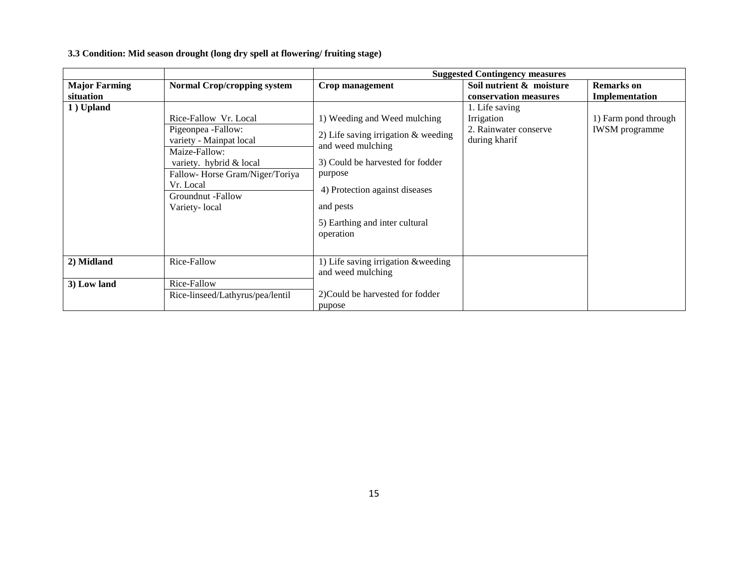**3.3 Condition: Mid season drought (long dry spell at flowering/ fruiting stage)**

|                      |                                                                                                                                                                                                         | <b>Suggested Contingency measures</b>                                                                                                                                                                                                   |                                                                        |                                               |
|----------------------|---------------------------------------------------------------------------------------------------------------------------------------------------------------------------------------------------------|-----------------------------------------------------------------------------------------------------------------------------------------------------------------------------------------------------------------------------------------|------------------------------------------------------------------------|-----------------------------------------------|
| <b>Major Farming</b> | <b>Normal Crop/cropping system</b>                                                                                                                                                                      | Crop management                                                                                                                                                                                                                         | Soil nutrient & moisture                                               | <b>Remarks</b> on                             |
| situation            |                                                                                                                                                                                                         |                                                                                                                                                                                                                                         | conservation measures                                                  | Implementation                                |
| 1) Upland            | Rice-Fallow Vr. Local<br>Pigeonpea -Fallow:<br>variety - Mainpat local<br>Maize-Fallow:<br>variety. hybrid & local<br>Fallow-Horse Gram/Niger/Toriya<br>Vr. Local<br>Groundnut -Fallow<br>Variety-local | 1) Weeding and Weed mulching<br>2) Life saving irrigation $&$ weeding<br>and weed mulching<br>3) Could be harvested for fodder<br>purpose<br>4) Protection against diseases<br>and pests<br>5) Earthing and inter cultural<br>operation | 1. Life saving<br>Irrigation<br>2. Rainwater conserve<br>during kharif | 1) Farm pond through<br><b>IWSM</b> programme |
| 2) Midland           | Rice-Fallow                                                                                                                                                                                             | 1) Life saving irrigation & weeding<br>and weed mulching                                                                                                                                                                                |                                                                        |                                               |
| 3) Low land          | Rice-Fallow                                                                                                                                                                                             |                                                                                                                                                                                                                                         |                                                                        |                                               |
|                      | Rice-linseed/Lathyrus/pea/lentil                                                                                                                                                                        | 2) Could be harvested for fodder<br>pupose                                                                                                                                                                                              |                                                                        |                                               |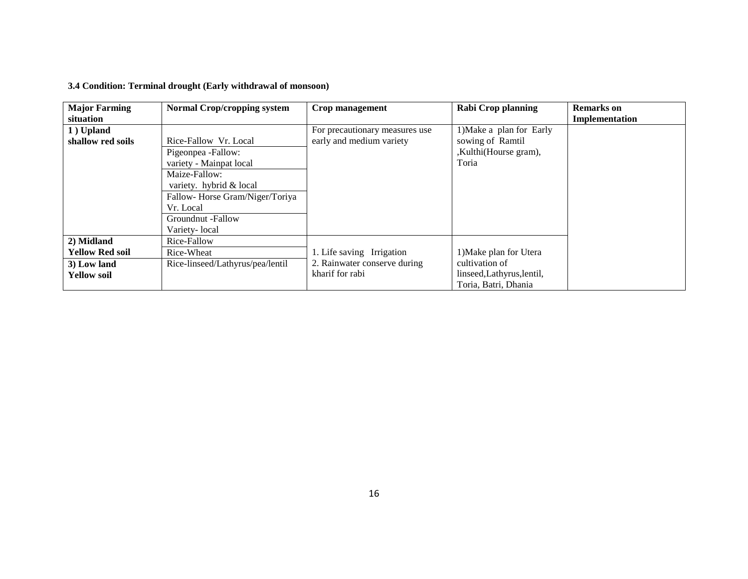| <b>Major Farming</b><br>situation                                         | <b>Normal Crop/cropping system</b>                                                                                                                                                                      | Crop management                                                              | <b>Rabi Crop planning</b>                                                                      | <b>Remarks</b> on<br>Implementation |
|---------------------------------------------------------------------------|---------------------------------------------------------------------------------------------------------------------------------------------------------------------------------------------------------|------------------------------------------------------------------------------|------------------------------------------------------------------------------------------------|-------------------------------------|
| 1) Upland<br>shallow red soils                                            | Rice-Fallow Vr. Local<br>Pigeonpea -Fallow:<br>variety - Mainpat local<br>Maize-Fallow:<br>variety. hybrid & local<br>Fallow-Horse Gram/Niger/Toriya<br>Vr. Local<br>Groundnut -Fallow<br>Variety-local | For precautionary measures use<br>early and medium variety                   | 1) Make a plan for Early<br>sowing of Ramtil<br>,Kulthi(Hourse gram),<br>Toria                 |                                     |
| 2) Midland<br><b>Yellow Red soil</b><br>3) Low land<br><b>Yellow soil</b> | Rice-Fallow<br>Rice-Wheat<br>Rice-linseed/Lathyrus/pea/lentil                                                                                                                                           | 1. Life saving Irrigation<br>2. Rainwater conserve during<br>kharif for rabi | 1) Make plan for Utera<br>cultivation of<br>linseed, Lathyrus, lentil,<br>Toria, Batri, Dhania |                                     |

### **3.4 Condition: Terminal drought (Early withdrawal of monsoon)**